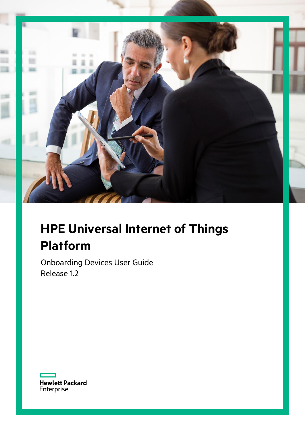

# **HPE Universal Internet of Things Platform**

Onboarding Devices User Guide Release 1.2

Hewlett Packard<br>Enterprise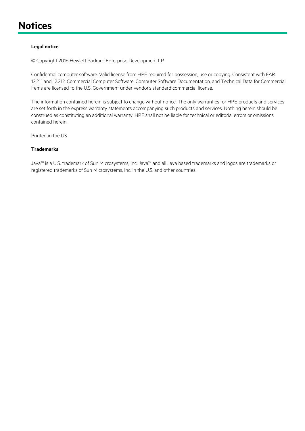## <span id="page-1-0"></span>**Notices**

#### **Legal notice**

© Copyright 2016 Hewlett Packard Enterprise Development LP

Confidential computer software. Valid license from HPE required for possession, use or copying. Consistent with FAR 12.211 and 12.212, Commercial Computer Software, Computer Software Documentation, and Technical Data for Commercial Items are licensed to the U.S. Government under vendor's standard commercial license.

The information contained herein is subject to change without notice. The only warranties for HPE products and services are set forth in the express warranty statements accompanying such products and services. Nothing herein should be construed as constituting an additional warranty. HPE shall not be liable for technical or editorial errors or omissions contained herein.

Printed in the US

#### **Trademarks**

Java™ is a U.S. trademark of Sun Microsystems, Inc. Java™ and all Java based trademarks and logos are trademarks or registered trademarks of Sun Microsystems, Inc. in the U.S. and other countries.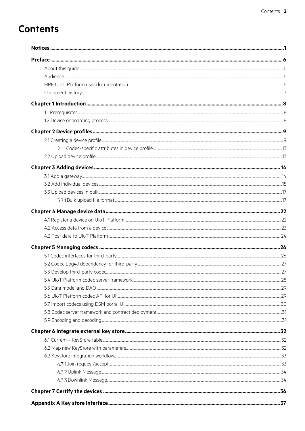# **Contents**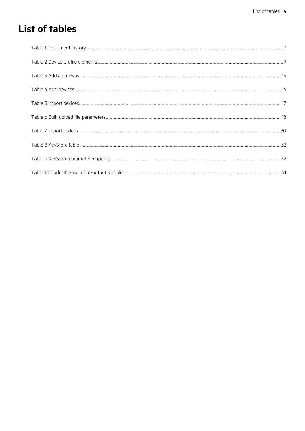# **List of tables**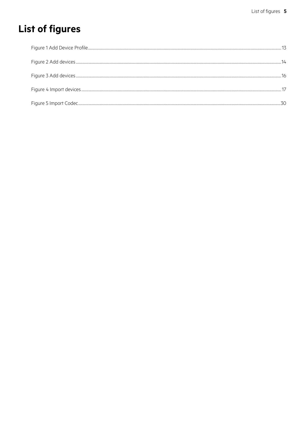# **List of figures**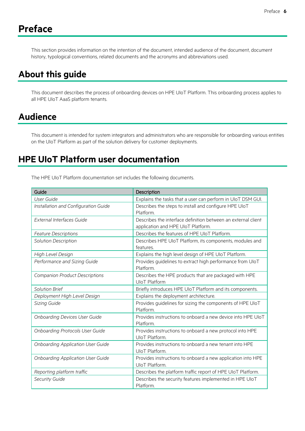## <span id="page-6-0"></span>**Preface**

This section provides information on the intention of the document, intended audience of the document, document history, typological conventions, related documents and the acronyms and abbreviations used.

### <span id="page-6-1"></span>**About this guide**

This document describes the process of onboarding devices on HPE UIoT Platform. This onboarding process applies to all HPE UIoT AaaS platform tenants.

### <span id="page-6-2"></span>**Audience**

This document is intended for system integrators and administrators who are responsible for onboarding various entities on the UIoT Platform as part of the solution delivery for customer deployments.

### <span id="page-6-3"></span>**HPE UIoT Platform user documentation**

The HPE UIoT Platform documentation set includes the following documents.

| Guide                                    | Description                                                   |
|------------------------------------------|---------------------------------------------------------------|
| <b>User Guide</b>                        | Explains the tasks that a user can perform in UIoT DSM GUI.   |
| Installation and Configuration Guide     | Describes the steps to install and configure HPE UIoT         |
|                                          | Platform.                                                     |
| External Interfaces Guide                | Describes the interface definition between an external client |
|                                          | application and HPE UIoT Platform.                            |
| <b>Feature Descriptions</b>              | Describes the features of HPE UIoT Platform.                  |
| Solution Description                     | Describes HPE UIoT Platform, its components, modules and      |
|                                          | features.                                                     |
| High Level Design                        | Explains the high level design of HPE UIoT Platform.          |
| Performance and Sizing Guide             | Provides guidelines to extract high performance from UIoT     |
|                                          | Platform.                                                     |
| <b>Companion Product Descriptions</b>    | Describes the HPE products that are packaged with HPE         |
|                                          | <b>UloT Platform</b>                                          |
| Solution Brief                           | Briefly introduces HPE UIoT Platform and its components.      |
| Deployment High Level Design             | Explains the deployment architecture.                         |
| Sizing Guide                             | Provides guidelines for sizing the components of HPE UIoT     |
|                                          | Platform.                                                     |
| <b>Onboarding Devices User Guide</b>     | Provides instructions to onboard a new device into HPE UIoT   |
|                                          | Platform.                                                     |
| <b>Onboarding Protocols User Guide</b>   | Provides instructions to onboard a new protocol into HPE      |
|                                          | UloT Platform.                                                |
| Onboarding Application User Guide        | Provides instructions to onboard a new tenant into HPE        |
|                                          | UloT Platform.                                                |
| <b>Onboarding Application User Guide</b> | Provides instructions to onboard a new application into HPE   |
|                                          | UIoT Platform.                                                |
| Reporting platform traffic               | Describes the platform traffic report of HPE UIoT Platform.   |
| Security Guide                           | Describes the security features implemented in HPE UIoT       |
|                                          | Platform.                                                     |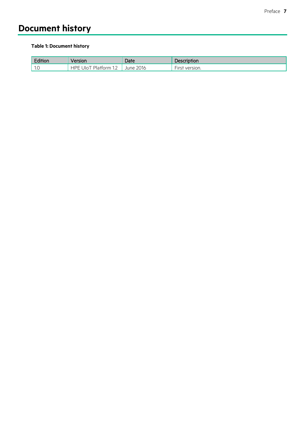## <span id="page-7-0"></span>**Document history**

#### <span id="page-7-1"></span>**Table 1: Document history**

| Edition                 | Version                                    | Date         | Description                 |
|-------------------------|--------------------------------------------|--------------|-----------------------------|
| $\sim$ 1 $\sim$<br>ن ۱۰ | -IDE<br>Jlo <sup>-</sup><br>™ Platform 1.∠ | 2016<br>June | $-$<br>version.<br>$\cdots$ |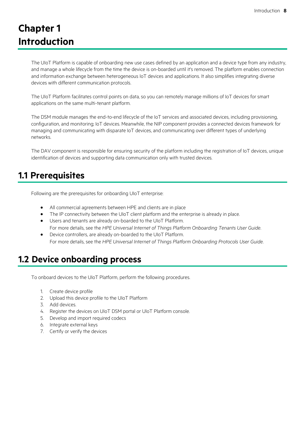# <span id="page-8-0"></span>**Chapter 1 Introduction**

The UIoT Platform is capable of onboarding new use cases defined by an application and a device type from any industry, and manage a whole lifecycle from the time the device is on-boarded until it's removed. The platform enables connection and information exchange between heterogeneous IoT devices and applications. It also simplifies integrating diverse devices with different communication protocols.

The UIoT Platform facilitates control points on data, so you can remotely manage millions of IoT devices for smart applications on the same multi-tenant platform.

The DSM module manages the end-to-end lifecycle of the IoT services and associated devices, including provisioning, configuration, and monitoring; IoT devices. Meanwhile, the NIP component provides a connected devices framework for managing and communicating with disparate IoT devices, and communicating over different types of underlying networks.

The DAV component is responsible for ensuring security of the platform including the registration of IoT devices, unique identification of devices and supporting data communication only with trusted devices.

### <span id="page-8-1"></span>**1.1 Prerequisites**

Following are the prerequisites for onboarding UIoT enterprise:

- All commercial agreements between HPE and clients are in place
- The IP connectivity between the UIoT client platform and the enterprise is already in place.
- Users and tenants are already on-boarded to the UIoT Platform. For more details, see the *HPE Universal Internet of Things Platform Onboarding Tenants User Guide*.
- Device controllers, are already on-boarded to the UIoT Platform. For more details, see the *HPE Universal Internet of Things Platform Onboarding Protocols User Guide*.

### <span id="page-8-2"></span>**1.2 Device onboarding process**

To onboard devices to the UIoT Platform, perform the following procedures.

- 1. Create device profile
- 2. Upload this device profile to the UIoT Platform
- 3. Add devices.
- 4. Register the devices on UIoT DSM portal or UIoT Platform console.
- 5. Develop and import required codecs
- 6. Integrate external keys
- 7. Certify or verify the devices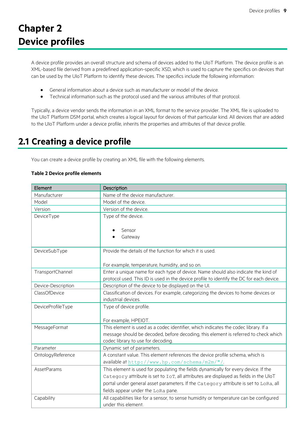# <span id="page-9-0"></span>**Chapter 2 Device profiles**

A device profile provides an overall structure and schema of devices added to the UIoT Platform. The device profile is an XML-based file derived from a predefined application-specific XSD, which is used to capture the specifics on devices that can be used by the UIoT Platform to identify these devices. The specifics include the following information:

- General information about a device such as manufacturer or model of the device.
- Technical information such as the protocol used and the various attributes of that protocol.

Typically, a device vendor sends the information in an XML format to the service provider. The XML file is uploaded to the UIoT Platform DSM portal, which creates a logical layout for devices of that particular kind. All devices that are added to the UIoT Platform under a device profile, inherits the properties and attributes of that device profile.

### <span id="page-9-1"></span>**2.1 Creating a device profile**

You can create a device profile by creating an XML file with the following elements.

#### <span id="page-9-2"></span>**Table 2 Device profile elements**

| Element            | Description                                                                              |
|--------------------|------------------------------------------------------------------------------------------|
| Manufacturer       | Name of the device manufacturer.                                                         |
| Model              | Model of the device.                                                                     |
| Version            | Version of the device.                                                                   |
| DeviceType         | Type of the device.                                                                      |
|                    |                                                                                          |
|                    | Sensor                                                                                   |
|                    | Gateway                                                                                  |
| DeviceSubType      | Provide the details of the function for which it is used.                                |
|                    |                                                                                          |
|                    | For example, temperature, humidity, and so on.                                           |
| TransportChannel   | Enter a unique name for each type of device. Name should also indicate the kind of       |
|                    | protocol used. This ID is used in the device profile to identify the DC for each device. |
| Device-Description | Description of the device to be displayed on the UI.                                     |
| ClassOfDevice      | Classification of devices. For example, categorizing the devices to home devices or      |
|                    | industrial devices.                                                                      |
| DeviceProfileType  | Type of device profile.                                                                  |
|                    |                                                                                          |
|                    | For example, HPEIOT.                                                                     |
| MessageFormat      | This element is used as a codec identifier, which indicates the codec library. If a      |
|                    | message should be decoded, before decoding, this element is referred to check which      |
|                    | codec library to use for decoding.                                                       |
| Parameter          | Dynamic set of parameters.                                                               |
| OntologyReference  | A constant value. This element references the device profile schema, which is            |
|                    | available at http://www.hp.com/schema/m2m/"/.                                            |
| <b>AssetParams</b> | This element is used for populating the fields dynamically for every device. If the      |
|                    | Category attribute is set to IoT, all attributes are displayed as fields in the UloT     |
|                    | portal under general asset parameters. If the Category attribute is set to LoRa, all     |
|                    | fields appear under the LoRa pane.                                                       |
| Capability         | All capabilities like for a sensor, to sense humidity or temperature can be configured   |
|                    | under this element.                                                                      |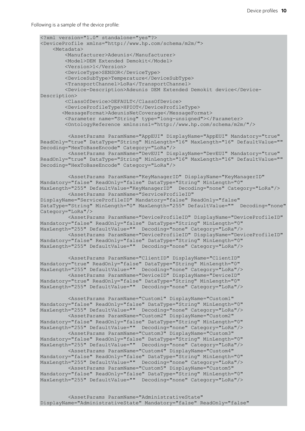Following is a sample of the device profile:

```
<?xml version="1.0" standalone="yes"?>
<DeviceProfile xmlns="http://www.hp.com/schema/m2m/">
     <Metadata>
         <Manufacturer>Adeunis</Manufacturer>
         <Model>DEM Extended Demokit</Model>
         <Version>1</Version>
         <DeviceType>SENSOR</DeviceType>
         <DeviceSubType>Temperature</DeviceSubType>
         <TransportChannel>LoRa</TransportChannel>
         <Device-Description>Adeunis DEM Extended Demokit device</Device-
Description>
         <ClassOfDevice>DEFAULT</ClassOfDevice>
         <DeviceProfileType>HPIOT</DeviceProfileType>
        <MessageFormat>AdeunisNetCoverage</MessageFormat>
         <Parameter name="String" type="long-unsigned"></Parameter>
         <OntologyReference xmlns:ns1="http://www.hp.com/schema/m2m/"/> 
         <AssetParams ParamName="AppEUI" DisplayName="AppEUI" Mandatory="true" 
ReadOnly="true" DataType="String" MinLength="16" MaxLength="16" DefaultValue="" 
Decoding="HexToBaseEncode" Category="LoRa"/>
         <AssetParams ParamName="DevEUI" DisplayName="DevEUI" Mandatory="true" 
ReadOnly="true" DataType="String" MinLength="16" MaxLength="16" DefaultValue="" 
Decoding="HexToBaseEncode" Category="LoRa"/>
         <AssetParams ParamName="KeyManagerID" DisplayName="KeyManagerID" 
Mandatory="false" ReadOnly="false" DataType="String" MinLength="0" 
MaxLength="255" DefaultValue="KeyManagerID" Decoding="none" Category="LoRa"/>
         <AssetParams ParamName="ServiceProfileID" 
DisplayName="ServiceProfileID" Mandatory="false" ReadOnly="false" 
DataType="String" MinLength="0" MaxLength="255" DefaultValue="" Decoding="none" 
Category="LoRa"/>
         <AssetParams ParamName="DeviceProfileID" DisplayName="DeviceProfileID" 
Mandatory="false" ReadOnly="false" DataType="String" MinLength="0" 
MaxLength="255" DefaultValue="" Decoding="none" Category="LoRa"/>
        <AssetParams ParamName="DeviceProfileID" DisplayName="DeviceProfileID" 
Mandatory="false" ReadOnly="false" DataType="String" MinLength="0" 
MaxLength="255" DefaultValue="" Decoding="none" Category="LoRa"/>
         <AssetParams ParamName="ClientID" DisplayName="ClientID" 
Mandatory="true" ReadOnly="false" DataType="String" MinLength="0" 
MaxLength="255" DefaultValue="" Decoding="none" Category="LoRa"/>
        <AssetParams ParamName="DeviceID" DisplayName="DeviceID" 
Mandatory="true" ReadOnly="false" DataType="String" MinLength="0" 
MaxLength="255" DefaultValue="" Decoding="none" Category="LoRa"/>
         <AssetParams ParamName="Custom1" DisplayName="Custom1" 
Mandatory="false" ReadOnly="false" DataType="String" MinLength="0" 
MaxLength="255" DefaultValue="" Decoding="none" Category="LoRa"/>
        <AssetParams ParamName="Custom2" DisplayName="Custom2" 
Mandatory="false" ReadOnly="false" DataType="String" MinLength="0" 
MaxLength="255" DefaultValue="" Decoding="none" Category="LoRa"/>
         <AssetParams ParamName="Custom3" DisplayName="Custom3" 
Mandatory="false" ReadOnly="false" DataType="String" MinLength="0" 
MaxLength="255" DefaultValue="" Decoding="none" Category="LoRa"/>
         <AssetParams ParamName="Custom4" DisplayName="Custom4" 
Mandatory="false" ReadOnly="false" DataType="String" MinLength="0" 
MaxLength="255" DefaultValue="" Decoding="none" Category="LoRa"/>
         <AssetParams ParamName="Custom5" DisplayName="Custom5" 
Mandatory="false" ReadOnly="false" DataType="String" MinLength="0" 
MaxLength="255" DefaultValue="" Decoding="none" Category="LoRa"/>
         <AssetParams ParamName="AdministrativeState" 
DisplayName="AdministrativeState" Mandatory="false" ReadOnly="false"
```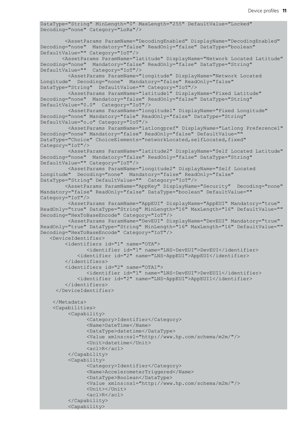```
DataType="String" MinLength="0" MaxLength="255" DefaultValue="Locked" 
Decoding="none" Category="LoRa"/>
         <AssetParams ParamName="DecodingEnabled" DisplayName="DecodingEnabled" 
Decoding="none" Mandatory="false" ReadOnly="false" DataType="boolean" 
DefaultValue="" Category="IoT"/> 
        <AssetParams ParamName="latitude" DisplayName="Network Located Latitude" 
Decoding="none" Mandatory="false" ReadOnly="false" DataType="String" 
DefaultValue="" Category="IoT"/>
         <AssetParams ParamName="longitude" DisplayName="Network Located 
Longitude" Decoding="none" Mandatory="false" ReadOnly="false" 
DataType="String" DefaultValue="" Category="IoT"/>
         <AssetParams ParamName="latitude1" DisplayName="Fixed Latitude" 
Decoding="none" Mandatory="false" ReadOnly="false" DataType="String" 
DefaultValue="0.0" Category="IoT"/>
         <AssetParams ParamName="longitude1" DisplayName="Fixed Longitude" 
Decoding="none" Mandatory="fale" ReadOnly="false" DataType="String" 
DefaultValue="o.o" Category="IoT"/>
         <AssetParams ParamName="latlongpref" DisplayName="Latlong Preference1" 
Decoding="none" Mandatory="false" ReadOnly="false" DefaultValue="" 
DataType="Choice" ChoiceElements="networkLocated, selfLocated, fixed"
Category="IoT"/>
         <AssetParams ParamName="latitude2" DisplayName="Self Located Latitude" 
Decoding="none" Mandatory="false" ReadOnly="false" DataType="String" 
DefaultValue="" Category="IoT"/>
         <AssetParams ParamName="longitude2" DisplayName="Self Located 
Longitude" Decoding="none" Mandatory="false" ReadOnly="false" 
DataType="String" DefaultValue="" Category="IoT"/>
         <AssetParams ParamName="AppKey" DisplayName="Security" Decoding="none" 
Mandatory="false" ReadOnly="false" DataType="boolean" DefaultValue="" 
Category="IoT"/>
         <AssetParams ParamName="AppEUI" DisplayName="AppEUI" Mandatory="true" 
ReadOnly="true" DataType="String" MinLength="16" MaxLength="16" DefaultValue="" 
Decoding="HexToBaseEncode" Category="IoT"/>
         <AssetParams ParamName="DevEUI" DisplayName="DevEUI" Mandatory="true" 
ReadOnly="true" DataType="String" MinLength="16" MaxLength="16" DefaultValue="" 
Decoding="HexToBaseEncode" Category="IoT"/>
   <DeviceIdentifier>
         <identifiers id="1" name="OTA">
               <identifier id="1" name="LNS-DevEUI">DevEUI</identifier>
             <identifier id="2" name="LNS-AppEUI">AppEUI</identifier>
         </identifiers>
         <identifiers id="2" name="OTA1">
               <identifier id="1" name="LNS-DevEUI">DevEUI1</identifier>
             <identifier id="2" name="LNS-AppEUI">AppEUI1</identifier>
         </identifiers>
      </DeviceIdentifier>
     </Metadata>
     <Capabilities>
         <Capability>
               <Category>Identifier</Category>
               <Name>DateTime</Name>
               <DataType>datetime</DataType>
               <Value xmlns:ns1="http://www.hp.com/schema/m2m/"/>
               <Unit>datetime</Unit>
               <acl>R</acl>
         </Capability>
         <Capability>
               <Category>Identifier</Category>
               <Name>AccelerometerTriggered</Name>
               <DataType>Boolean</DataType>
               <Value xmlns:ns1="http://www.hp.com/schema/m2m/"/>
               <Unit></Unit>
               <acl>R</acl>
         </Capability>
         <Capability>
```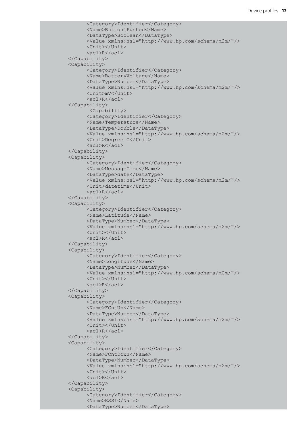```
<Category>Identifier</Category>
      <Name>Button1Pushed</Name>
      <DataType>Boolean</DataType>
      <Value xmlns:ns1="http://www.hp.com/schema/m2m/"/>
      <Unit></Unit>
      <acl>R</acl>
</Capability>
<Capability>
      <Category>Identifier</Category>
      <Name>BatteryVoltage</Name>
      <DataType>Number</DataType>
      <Value xmlns:ns1="http://www.hp.com/schema/m2m/"/>
      <Unit>mV</Unit>
      <acl>R</acl>
</Capability>
       <Capability>
      <Category>Identifier</Category>
      <Name>Temperature</Name>
     <DataType>Double</DataType>
      <Value xmlns:ns1="http://www.hp.com/schema/m2m/"/>
      <Unit>Degree C</Unit>
      <acl>R</acl>
</Capability>
<Capability>
      <Category>Identifier</Category>
      <Name>MessageTime</Name>
     <DataType>date</DataType>
      <Value xmlns:ns1="http://www.hp.com/schema/m2m/"/>
      <Unit>datetime</Unit>
      <acl>R</acl>
</Capability>
<Capability>
      <Category>Identifier</Category>
      <Name>Latitude</Name>
      <DataType>Number</DataType>
      <Value xmlns:ns1="http://www.hp.com/schema/m2m/"/>
      <Unit></Unit>
      <acl>R</acl>
</Capability>
<Capability>
      <Category>Identifier</Category>
      <Name>Longitude</Name>
      <DataType>Number</DataType>
      <Value xmlns:ns1="http://www.hp.com/schema/m2m/"/>
     <Unit></Unit>
      <acl>R</acl>
</Capability>
<Capability>
      <Category>Identifier</Category>
      <Name>FCntUp</Name>
     <DataType>Number</DataType>
      <Value xmlns:ns1="http://www.hp.com/schema/m2m/"/>
     <Unit></Unit>
     <acl>R</acl>
</Capability>
<Capability>
      <Category>Identifier</Category>
      <Name>FCntDown</Name>
      <DataType>Number</DataType>
      <Value xmlns:ns1="http://www.hp.com/schema/m2m/"/>
      <Unit></Unit>
      <acl>R</acl>
</Capability>
<Capability>
      <Category>Identifier</Category>
      <Name>RSSI</Name>
      <DataType>Number</DataType>
```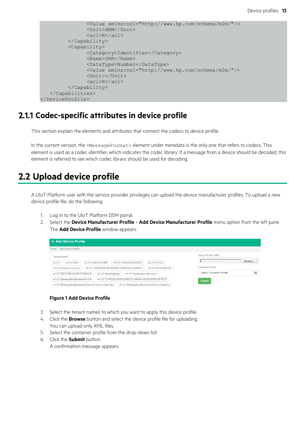```
<Value xmlns:ns1="http://www.hp.com/schema/m2m/"/>
               <Unit>dBM</Unit>
               <acl>R</acl>
         </Capability>
         <Capability>
               <Category>Identifier</Category>
               <Name>SNR</Name>
               <DataType>Number</DataType>
               <Value xmlns:ns1="http://www.hp.com/schema/m2m/"/>
               <Unit></Unit>
               <acl>R</acl>
         </Capability>
   </Capabilities>
</DeviceProfile>
```
#### <span id="page-13-0"></span>**Codec-specific attributes in device profile**

This section explain the elements and attributes that connect the codecs to device profile.

In the current version, the <MessageFormat> element under metadata is the only one that refers to codecs. This element is used as a codec identifier, which indicates the codec library. If a message from a device should be decoded, this element is referred to see which codec library should be used for decoding.

### <span id="page-13-1"></span>**2.2 Upload device profile**

A UIoT Platform user with the service provider privileges can upload the device manufacturer profiles. To upload a new device profile file, do the following:

- 1. Log in to the UIoT Platform DSM portal.
- 2. Select the **Device Manufacturer Profile** > **Add Device Manufacturer Profile** menu option from the left pane. The **Add Device Profile** window appears.

| Add Device Profile                                                                                                                                                                                                                                                               |                                                                                                               |
|----------------------------------------------------------------------------------------------------------------------------------------------------------------------------------------------------------------------------------------------------------------------------------|---------------------------------------------------------------------------------------------------------------|
| Home > Add Device Profile                                                                                                                                                                                                                                                        |                                                                                                               |
| Tenant Name*<br>✔ IOT SANGSDATFTEST<br>✔ IOT SMARTHOME<br>VIOT APPLE<br>$\vee$ IOT SEM<br>$\vee$ IoT<br>✔ IOT.RESTGROUP<br>✔ IOT.SMARTENVIRONMENT.PRAKASH 05APRIL<br>← IoT.SmartEnvironment<br>✔ IOT.RESTGROUP.RESTGROUP<br>✔ IoT.StreetLighting<br>√ IoT.StreetLights.Barcelona | Device Profile (XML)<br>Browse<br><b>Container Profile</b><br>$\checkmark$<br><b>Select Container Profile</b> |
| ✔ IOT.STREETLIGHTS.BARCELONA.N-340.NEWGROUPTEST<br>V IoT.StreetLights.Barcelona.N-340<br>√ IoT.StreetLights.Barcelona.Gran-Via-de-les-Cots-Cata<br>← IoT.StreetLights.Barcelona.Placa-d-Espanya                                                                                  | <b>Submit</b>                                                                                                 |

#### **Figure 1 Add Device Profile**

- <span id="page-13-2"></span>3. Select the tenant names to which you want to apply this device profile.
- 4. Click the **Browse** button and select the device profile file for uploading. You can upload only XML files.
- 5. Select the container profile from the drop-down list.
- 6. Click the **Submit** button. A confirmation message appears.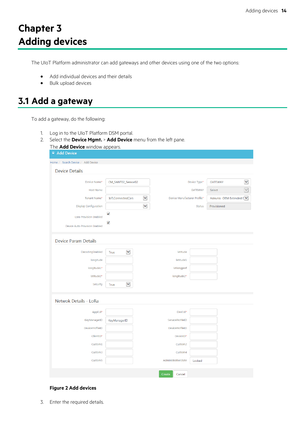# <span id="page-14-0"></span>**Chapter 3 Adding devices**

The UIoT Platform administrator can add gateways and other devices using one of the two options:

- Add individual devices and their details
- Bulk upload devices

### <span id="page-14-1"></span>**3.1 Add a gateway**

To add a gateway, do the following:

- 1. Log in to the UIoT Platform DSM portal.
- 2. Select the **Device Mgmt.** > **Add Device** menu from the left pane.

| The Add Device window appears.    |                                           |                              |                |                           |                      |
|-----------------------------------|-------------------------------------------|------------------------------|----------------|---------------------------|----------------------|
| ■ Add Device                      |                                           |                              |                |                           |                      |
| Home / Search Device / Add Device |                                           |                              |                |                           |                      |
| <b>Device Details</b>             |                                           |                              |                |                           |                      |
| Device Name*                      | CM_SANT02_Sensor02                        |                              | Device Type*   | <b>GATEWAY</b>            | $\blacktriangledown$ |
|                                   |                                           |                              |                |                           |                      |
| <b>Host Name</b>                  |                                           |                              | <b>GATEWAY</b> | Select                    | $\checkmark$         |
| Tenant Name*                      | $\blacktriangledown$<br>IoT.ConnectedCars | Device Manufacturer Profile* |                | Adeunis - DEM Extended [V |                      |
| <b>Display Configuration</b>      | M                                         |                              | <b>Status</b>  | Provisioned               |                      |
| <b>Lora Provision Enabled</b>     | $\checkmark$                              |                              |                |                           |                      |
| Device Auto Provision Enabled     | √                                         |                              |                |                           |                      |
| <b>Device Param Details</b>       |                                           |                              |                |                           |                      |
| DecodingEnabled                   | Y<br>True                                 | latitude                     |                |                           |                      |
| longitude                         |                                           | latitude1                    |                |                           |                      |
| longitude1*                       |                                           | latlongpref                  |                |                           |                      |
| latitude2*                        |                                           | longitude2*                  |                |                           |                      |
| Security                          | Y<br>True                                 |                              |                |                           |                      |
|                                   |                                           |                              |                |                           |                      |
| Netwok Details - LoRa             |                                           |                              |                |                           |                      |
| AppEUI*                           |                                           | DevEUI*                      |                |                           |                      |
| KeyManagerID                      | KeyManagerID                              | ServiceProfileID             |                |                           |                      |
| DeviceProfileID                   |                                           | DeviceProfileID              |                |                           |                      |
| ClientID*                         |                                           | DeviceID*                    |                |                           |                      |
| Custom1                           |                                           | Custom2                      |                |                           |                      |
| Custom3                           |                                           | Custom4                      |                |                           |                      |
| Custom5                           |                                           | AdministrativeState          | Locked         |                           |                      |
|                                   |                                           |                              |                |                           |                      |
|                                   |                                           | Create<br>Cancel             |                |                           |                      |
|                                   |                                           |                              |                |                           |                      |

#### **Figure 2 Add devices**

<span id="page-14-2"></span>3. Enter the required details.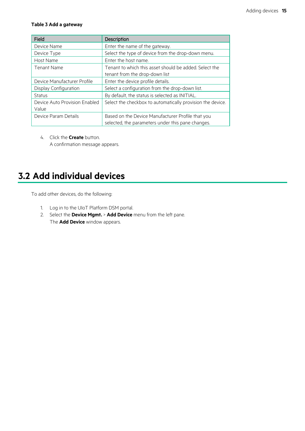#### <span id="page-15-1"></span>**Table 3 Add a gateway**

| Field                         | Description                                                |
|-------------------------------|------------------------------------------------------------|
| Device Name                   | Enter the name of the gateway.                             |
| Device Type                   | Select the type of device from the drop-down menu.         |
| Host Name                     | Enter the host name.                                       |
| Tenant Name                   | Tenant to which this asset should be added. Select the     |
|                               | tenant from the drop-down list                             |
| Device Manufacturer Profile   | Enter the device profile details.                          |
| Display Configuration         | Select a configuration from the drop-down list.            |
| Status                        | By default, the status is selected as INITIAL.             |
| Device Auto Provision Enabled | Select the checkbox to automatically provision the device. |
| Value                         |                                                            |
| Device Param Details          | Based on the Device Manufacturer Profile that you          |
|                               | selected, the parameters under this pane changes.          |

4. Click the **Create** button. A confirmation message appears.

### <span id="page-15-0"></span>**3.2 Add individual devices**

To add other devices, do the following:

- 1. Log in to the UIoT Platform DSM portal.
- 2. Select the **Device Mgmt.** > **Add Device** menu from the left pane. The **Add Device** window appears.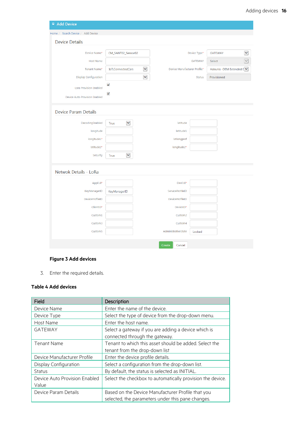| □ Add Device                      |                      |              |                              |                |             |                           |
|-----------------------------------|----------------------|--------------|------------------------------|----------------|-------------|---------------------------|
| Home / Search Device / Add Device |                      |              |                              |                |             |                           |
| <b>Device Details</b>             |                      |              |                              |                |             |                           |
| Device Name*                      | CM_SANT02_Sensor02   |              |                              | Device Type*   | GATEWAY     | $\blacktriangledown$      |
| <b>Host Name</b>                  |                      |              |                              | <b>GATEWAY</b> | Select      | $\checkmark$              |
| Tenant Name*                      | IoT.ConnectedCars    | $\checkmark$ | Device Manufacturer Profile* |                |             | Adeunis - DEM Extended [V |
|                                   |                      |              |                              |                |             |                           |
| <b>Display Configuration</b>      |                      | Y            |                              | <b>Status</b>  | Provisioned |                           |
| <b>Lora Provision Enabled</b>     | $\checkmark$         |              |                              |                |             |                           |
| Device Auto Provision Enabled     | √                    |              |                              |                |             |                           |
| <b>Device Param Details</b>       |                      |              |                              |                |             |                           |
| DecodingEnabled                   | Y<br><b>True</b>     |              | latitude                     |                |             |                           |
| longitude                         |                      |              | latitude1                    |                |             |                           |
| longitude1*                       |                      |              | latlongpref                  |                |             |                           |
| latitude2*                        |                      |              | longitude2*                  |                |             |                           |
| Security                          | $\checkmark$<br>True |              |                              |                |             |                           |
| Netwok Details - LoRa             |                      |              |                              |                |             |                           |
| AppEUI*                           |                      |              | DevEUI*                      |                |             |                           |
| KeyManagerID                      | KeyManagerID         |              | ServiceProfileID             |                |             |                           |
| DeviceProfileID                   |                      |              | <b>DeviceProfileID</b>       |                |             |                           |
| ClientID*                         |                      |              | DeviceID*                    |                |             |                           |
| Custom1                           |                      |              | Custom2                      |                |             |                           |
| Custom3                           |                      |              | Custom4                      |                |             |                           |
| Custom5                           |                      |              | AdministrativeState          | Locked         |             |                           |
|                                   |                      |              | Create<br>Cancel             |                |             |                           |

#### **Figure 3 Add devices**

<span id="page-16-1"></span>3. Enter the required details.

#### <span id="page-16-0"></span>**Table 4 Add devices**

| Field                         | Description                                                |
|-------------------------------|------------------------------------------------------------|
| Device Name                   | Enter the name of the device.                              |
| Device Type                   | Select the type of device from the drop-down menu.         |
| Host Name                     | Enter the host name.                                       |
| <b>GATEWAY</b>                | Select a gateway if you are adding a device which is       |
|                               | connected through the gateway.                             |
| Tenant Name                   | Tenant to which this asset should be added. Select the     |
|                               | tenant from the drop-down list                             |
| Device Manufacturer Profile   | Enter the device profile details.                          |
| Display Configuration         | Select a configuration from the drop-down list.            |
| <b>Status</b>                 | By default, the status is selected as INITIAL.             |
| Device Auto Provision Enabled | Select the checkbox to automatically provision the device. |
| Value                         |                                                            |
| Device Param Details          | Based on the Device Manufacturer Profile that you          |
|                               | selected, the parameters under this pane changes.          |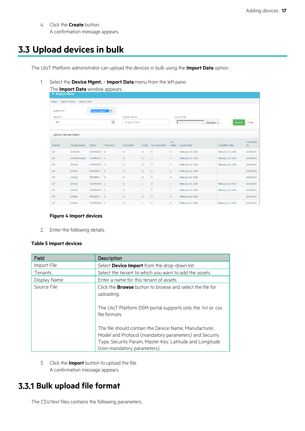4. Click the **Create** button. A confirmation message appears.

### <span id="page-17-0"></span>**3.3 Upload devices in bulk**

The UIoT Platform administrator can upload the devices in bulk using the **Import Data** option.

1. Select the **Device Mgmt.** > **Import Data** menu from the left pane.

| The <b>Import Data</b> window appears.<br><b>Import Data</b><br>Ξ |                                              |                 |                   |                |                                            |                       |                |                                            |                   |                 |  |
|-------------------------------------------------------------------|----------------------------------------------|-----------------|-------------------|----------------|--------------------------------------------|-----------------------|----------------|--------------------------------------------|-------------------|-----------------|--|
|                                                                   | Home / Search Device /<br><b>Import Data</b> |                 |                   |                |                                            |                       |                |                                            |                   |                 |  |
| Import File*<br>Tenants*<br>IoT                                   | M<br>Device Import<br>Y                      |                 |                   |                | <b>Display Name</b><br><b>Display Name</b> |                       |                | Source File*<br>Clear<br>Browse.<br>Import |                   |                 |  |
|                                                                   | <b>Upload Devices Status</b><br>Lns          |                 |                   |                |                                            |                       | Submitted      |                                            |                   |                 |  |
| <b>Tenants</b>                                                    | <b>Display Name</b>                          | <b>Status</b>   | <b>Total Recs</b> | Successful     | Failed                                     | <b>Lns Successful</b> | Failed         | Submit Date                                | Complete Date     | By              |  |
| IoT                                                               | iotTestfa                                    | <b>COMPLETE</b> | $\overline{4}$    | $\mathbf{0}$   | 4                                          | $\circ$               | 4              | February 18, 2016                          | February 18, 2016 | <b>IoTAdmin</b> |  |
| IoT                                                               | <i>iotTestSuccess</i>                        | COMPLETE 4      |                   | $\overline{4}$ | $\mathbf{0}$                               | $\overline{4}$        | $\mathbf{0}$   | February 18, 2016                          | February 18, 2016 | <b>IoTAdmin</b> |  |
| IoT                                                               | <i>iotTest</i>                               | COMPLETE 4      |                   | $\mathbf 0$    | $\overline{4}$                             | $\circ$               | $\overline{4}$ | February 18, 2016                          | February 18, 2016 | <b>IoTAdmin</b> |  |
| IoT                                                               | iotTest                                      | <b>PENDING</b>  | $\mathbf{0}$      | $\mathbf{0}$   | $\mathbf{0}$                               | $\circ$               | $\circ$        | February 18, 2016                          |                   | <b>IoTAdmin</b> |  |
| IoT                                                               | iotTest                                      | <b>PENDING</b>  | $\mathbf{0}$      | $\mathbf{0}$   | $\mathbf{0}$                               | $\mathbf{0}$          | $\mathbf{O}$   | February 18, 2016                          |                   | <b>IoTAdmin</b> |  |
| IoT                                                               | iotTest                                      | COMPLETE 1      |                   | $\mathbf{0}$   | $\mathbf{1}$                               | $\circ$               | 1              | February 18, 2016                          | February 18, 2016 | <b>IoTAdmin</b> |  |
| IoT                                                               | iotTest                                      | COMPLETE   1    |                   | $\mathbf 0$    | $\mathbf{1}$                               | $\overline{0}$        | $\mathbf{1}$   | February 18, 2016                          | February 18, 2016 | <b>IoTAdmin</b> |  |
| IoT                                                               | iotTest                                      | <b>PENDING</b>  | $\mathbf{0}$      | $\mathbf{0}$   | $\mathbf{0}$                               | $\circ$               | $\mathbf{0}$   | February 18, 2016                          |                   | <b>IoTAdmin</b> |  |
| IoT                                                               | iotTest                                      | COMPLETE 1      |                   | $\mathbf{0}$   | 1                                          | $\mathbf{0}$          | $\mathbf{0}$   | February 17, 2016                          | February 17, 2016 | <b>IoTAdmin</b> |  |

#### **Figure 4 Import devices**

<span id="page-17-3"></span>2. Enter the following details.

#### <span id="page-17-2"></span>**Table 5 Import devices**

| Field        | Description                                                                                                                                                                                                 |
|--------------|-------------------------------------------------------------------------------------------------------------------------------------------------------------------------------------------------------------|
| Import File  | Select Device Import from the drop-down list.                                                                                                                                                               |
| Tenants      | Select the tenant to which you want to add the assets.                                                                                                                                                      |
| Display Name | Enter a name for this tenant of assets.                                                                                                                                                                     |
| Source File  | Click the <b>Browse</b> button to browse and select the file for<br>uploading.                                                                                                                              |
|              | The UIoT Platform DSM portal supports only the .txt or .csv<br>file formats.                                                                                                                                |
|              | The file should contain the Device Name, Manufacturer,<br>Model and Protocol (mandatory parameters) and Security<br>Type, Security Param, Master Key, Latitude and Longitude<br>(non-mandatory parameters). |

3. Click the **Import** button to upload the file. A confirmation message appears.

### <span id="page-17-1"></span>**Bulk upload file format**

The CSV/text files contains the following parameters.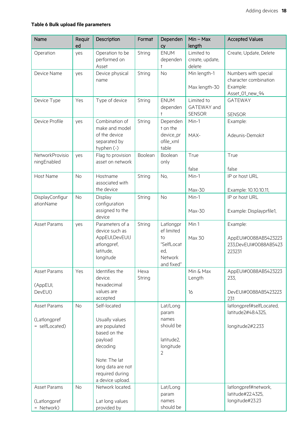#### <span id="page-18-0"></span>**Table 6 Bulk upload file parameters**

| Name                                           | Requir<br>ed | Description                                                                                                                                                         | Format         | Dependen<br>cy                                                                       | $Min - Max$<br>length                      | <b>Accepted Values</b>                                                       |
|------------------------------------------------|--------------|---------------------------------------------------------------------------------------------------------------------------------------------------------------------|----------------|--------------------------------------------------------------------------------------|--------------------------------------------|------------------------------------------------------------------------------|
| Operation                                      | yes          | Operation to be<br>performed on<br>Asset                                                                                                                            | String         | <b>ENUM</b><br>dependen<br>$\ddagger$                                                | Limited to<br>create, update,<br>delete    | Create, Update, Delete                                                       |
| Device Name                                    | yes          | Device physical<br>name                                                                                                                                             | String         | <b>No</b>                                                                            | Min length-1<br>Max length-30              | Numbers with special<br>character combination<br>Example:<br>Asset_01_new_94 |
| Device Type                                    | Yes          | Type of device                                                                                                                                                      | String         | <b>ENUM</b><br>dependen<br>$\ddagger$                                                | Limited to<br>GATEWAY and<br><b>SENSOR</b> | <b>GATEWAY</b><br><b>SENSOR</b>                                              |
| Device Profile                                 | yes          | Combination of<br>make and model<br>of the device<br>separated by<br>hyphen (-)                                                                                     | String         | Dependen<br>t on the<br>device_pr<br>ofile_xml<br>table                              | Min-1<br>MAX-                              | Example:<br>Adeunis-Demokit                                                  |
| NetworkProvisio<br>ningEnabled                 | yes          | Flag to provision<br>asset on network                                                                                                                               | Boolean        | Boolean<br>only                                                                      | True<br>false                              | True<br>false                                                                |
| Host Name                                      | <b>No</b>    | Hostname<br>associated with<br>the device                                                                                                                           | String         | No,                                                                                  | Min-1<br>Max-30                            | IP or host URL<br>Example: 10.10.10.11,                                      |
| DisplayConfigur<br>ationName                   | <b>No</b>    | Display<br>configuration<br>assigned to the<br>device                                                                                                               | String         | <b>No</b>                                                                            | Min-1<br>Max-30                            | IP or host URL<br>Example: Displayprfile1,                                   |
| Asset Params                                   | yes          | Parameters of a<br>device such as<br>AppEUI, DevEUI, I<br>atlongpref,<br>latitude,<br>longitude                                                                     | String         | Latlongpr<br>ef limited<br>to<br>"SelfLocat<br>ed,<br>Network<br>and fixed"          | Min 1<br>Max 30                            | Example:<br>AppEUI#0088AB5423223<br>233, DevEUI#0088AB5423<br>223231         |
| Asset Params<br>(AppEUI,<br>DevEUI)            | Yes          | Identifies the<br>device.<br>hexadecimal<br>values are<br>accepted                                                                                                  | Hexa<br>String |                                                                                      | Min & Max<br>Length<br>16                  | AppEUI#0088AB5423223<br>233,<br>DevEUI#0088AB5423223<br>231                  |
| Asset Params<br>(Latlongpref<br>= selfLocated) | <b>No</b>    | Self-located<br>Usually values<br>are populated<br>based on the<br>payload<br>decoding<br>Note: The lat<br>long data are not<br>required during<br>a device upload. |                | Lat/Long<br>param<br>names<br>should be<br>latitude2,<br>longitude<br>$\overline{2}$ |                                            | latlongpref#selfLocated,<br>latitude2#48.4325.<br>longitude2#2.233           |
| Asset Params<br>(Latlongpref<br>= Network)     | <b>No</b>    | Network located.<br>Lat long values<br>provided by                                                                                                                  |                | Lat/Long<br>param<br>names<br>should be                                              |                                            | latlongpref#network,<br>latitude#22.4325,<br>longitude#23.23                 |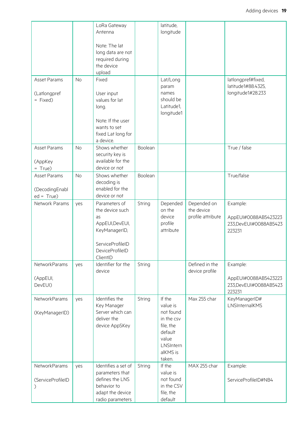|                                               |           | LoRa Gateway<br>Antenna                                                                                                       |         | latitude,<br>longitude                                                                                  |                                                |                                                                      |
|-----------------------------------------------|-----------|-------------------------------------------------------------------------------------------------------------------------------|---------|---------------------------------------------------------------------------------------------------------|------------------------------------------------|----------------------------------------------------------------------|
|                                               |           | Note: The lat<br>long data are not<br>required during<br>the device<br>upload                                                 |         |                                                                                                         |                                                |                                                                      |
| Asset Params                                  | <b>No</b> | Fixed                                                                                                                         |         | Lat/Long                                                                                                |                                                | latlongpref#fixed,<br>latitude1#88.4325,                             |
| (Latlongpref<br>= Fixed)                      |           | User input<br>values for lat<br>long.                                                                                         |         | param<br>names<br>should be<br>Latitude1,<br>longitude1                                                 |                                                | longitude1#28.233                                                    |
|                                               |           | Note: If the user<br>wants to set<br>fixed Lat long for<br>a device.                                                          |         |                                                                                                         |                                                |                                                                      |
| Asset Params<br>(AppKey<br>$= True$           | <b>No</b> | Shows whether<br>security key is<br>available for the<br>device or not                                                        | Boolean |                                                                                                         |                                                | True / false                                                         |
| Asset Params<br>(DecodingEnabl<br>$ed = True$ | <b>No</b> | Shows whether<br>decoding is<br>enabled for the<br>device or not                                                              | Boolean |                                                                                                         |                                                | True/false                                                           |
| Network Params                                | yes       | Parameters of<br>the device such<br>as<br>AppEUI, DevEUI,<br>KeyManagerID,<br>ServiceProfileID<br>DeviceProfileID<br>ClientID | String  | Depended<br>on the<br>device<br>profile<br>attribute                                                    | Depended on<br>the device<br>profile attribute | Example:<br>AppEUI#0088AB5423223<br>233, DevEUI#0088AB5423<br>223231 |
| NetworkParams<br>(AppEUI,<br>DevEUI)          | yes       | Identifier for the<br>device                                                                                                  | String  |                                                                                                         | Defined in the<br>device profile               | Example:<br>AppEUI#0088AB5423223<br>233, DevEUI#0088AB5423<br>223231 |
| NetworkParams                                 | yes       | Identifies the                                                                                                                | String  | If the                                                                                                  | Max 255 char                                   | KeyManagerID#                                                        |
| (KeyManagerID)                                |           | Key Manager<br>Server which can<br>deliver the<br>device AppSKey                                                              |         | value is<br>not found<br>in the csv<br>file, the<br>default<br>value<br>LNSIntern<br>alKMS is<br>taken. |                                                | LNSInternalKMS                                                       |
| NetworkParams<br>(ServiceProfileID            | yes       | Identifies a set of<br>parameters that<br>defines the LNS<br>behavior to<br>adapt the device                                  | String  | If the<br>value is<br>not found<br>in the CSV<br>file, the                                              | MAX 255 char                                   | Example:<br>ServiceProfileID#NB4                                     |
|                                               |           | radio parameters                                                                                                              |         | default                                                                                                 |                                                |                                                                      |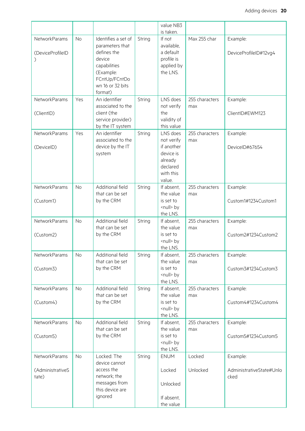|                      |           |                                  |        | value NB3                     |                |                          |
|----------------------|-----------|----------------------------------|--------|-------------------------------|----------------|--------------------------|
|                      |           |                                  |        | is taken.                     |                |                          |
| <b>NetworkParams</b> | <b>No</b> | Identifies a set of              | String | If not<br>available,          | Max 255 char   | Example:                 |
| (DeviceProfileID     |           | parameters that<br>defines the   |        | a default                     |                | DeviceProfileID#12vg4    |
|                      |           | device                           |        | profile is                    |                |                          |
|                      |           | capabilities                     |        | applied by                    |                |                          |
|                      |           | (Example:                        |        | the LNS.                      |                |                          |
|                      |           | FCntUp/FCntDo                    |        |                               |                |                          |
|                      |           | wn 16 or 32 bits                 |        |                               |                |                          |
|                      |           | format)                          |        |                               |                |                          |
| NetworkParams        | Yes       | An identifier                    | String | LNS does                      | 255 characters | Example:                 |
|                      |           | associated to the<br>client (the |        | not verify<br>the             | max            |                          |
| (ClientID)           |           | service provider)                |        | validity of                   |                | ClientID#EWM123          |
|                      |           | by the IT system                 |        | this value                    |                |                          |
| <b>NetworkParams</b> | Yes       | An identifier                    | String | LNS does                      | 255 characters | Example:                 |
|                      |           | associated to the                |        | not verify                    | max            |                          |
| (DeviceID)           |           | device by the IT                 |        | if another                    |                | DeviceID#67654           |
|                      |           | system                           |        | device is                     |                |                          |
|                      |           |                                  |        | already                       |                |                          |
|                      |           |                                  |        | declared<br>with this         |                |                          |
|                      |           |                                  |        | value.                        |                |                          |
| NetworkParams        | <b>No</b> | Additional field                 | String | If absent,                    | 255 characters | Example:                 |
|                      |           | that can be set                  |        | the value                     | max            |                          |
| (Custom1)            |           | by the CRM                       |        | is set to                     |                | Custom1#1234Custom1      |
|                      |           |                                  |        | <null> by</null>              |                |                          |
|                      |           |                                  |        | the LNS.                      |                |                          |
| <b>NetworkParams</b> | <b>No</b> | Additional field                 | String | If absent,                    | 255 characters | Example:                 |
|                      |           | that can be set                  |        | the value<br>is set to        | max            | Custom2#1234Custom2      |
| (Custom2)            |           | by the CRM                       |        | <null> by</null>              |                |                          |
|                      |           |                                  |        | the LNS.                      |                |                          |
| <b>NetworkParams</b> | No        | Additional field                 | String | If absent,                    | 255 characters | Example:                 |
|                      |           | that can be set                  |        | the value                     | max            |                          |
| (Custom3)            |           | by the CRM                       |        | is set to                     |                | Custom3#1234Custom3      |
|                      |           |                                  |        | <null> by</null>              |                |                          |
| NetworkParams        |           | Additional field                 |        | the LNS.                      | 255 characters |                          |
|                      | <b>No</b> | that can be set                  | String | If absent,<br>the value       | max            | Example:                 |
| (Custom4)            |           | by the CRM                       |        | is set to                     |                | Custom4#1234Custom4      |
|                      |           |                                  |        | <null> by</null>              |                |                          |
|                      |           |                                  |        | the LNS.                      |                |                          |
| <b>NetworkParams</b> | <b>No</b> | Additional field                 | String | If absent,                    | 255 characters | Example:                 |
|                      |           | that can be set                  |        | the value                     | max            |                          |
| (Custom5)            |           | by the CRM                       |        | is set to                     |                | Custom5#1234Custom5      |
|                      |           |                                  |        | <null> by<br/>the LNS.</null> |                |                          |
| NetworkParams        | <b>No</b> | Locked: The                      | String | <b>ENUM</b>                   | Locked         | Example:                 |
|                      |           | device cannot                    |        |                               |                |                          |
| (AdministrativeS     |           | access the                       |        | Locked                        | Unlocked       | AdministrativeState#Unlo |
| tate)                |           | network; the                     |        |                               |                | cked                     |
|                      |           | messages from                    |        | Unlocked                      |                |                          |
|                      |           | this device are                  |        |                               |                |                          |
|                      |           | ignored                          |        | If absent,                    |                |                          |
|                      |           |                                  |        | the value                     |                |                          |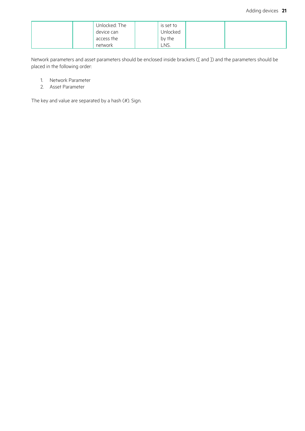| Unlocked: The | is set to |  |
|---------------|-----------|--|
| device can    | Unlocked  |  |
| access the    | by the    |  |
| network       | LNS.      |  |

Network parameters and asset parameters should be enclosed inside brackets ([ and ]) and the parameters should be placed in the following order:

- 1. Network Parameter
- 2. Asset Parameter

The key and value are separated by a hash (#). Sign.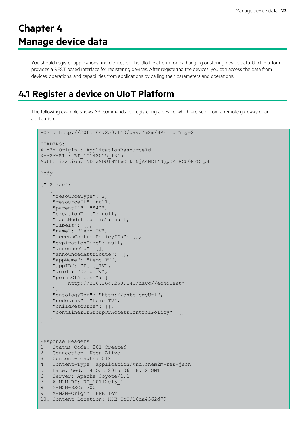# <span id="page-22-0"></span>**Chapter 4 Manage device data**

You should register applications and devices on the UIoT Platform for exchanging or storing device data. UIoT Platform provides a REST based interface for registering devices. After registering the devices, you can access the data from devices, operations, and capabilities from applications by calling their parameters and operations.

### <span id="page-22-1"></span>**4.1 Register a device on UIoT Platform**

The following example shows API commands for registering a device, which are sent from a remote gateway or an application.

```
POST: http://206.164.250.140/davc/m2m/HPE_IoT?ty=2
HEADERS:
X-M2M-Origin : ApplicationResourceId
X-M2M-RI : RI_10142015_1345
Authorization: NDIxNDU1NTIwOTk1NjA4NDI4NjpDR1RCU0NFQ1pH
Body
{"m2m:ae":
   \left\{ \right. "resourceType": 2,
     "resourceID": null,
     "parentID": "842", 
     "creationTime": null,
     "lastModifiedTime": null,
     "labels": [],
    "name": "Demo_TV",
     "accessControlPolicyIDs": [],
     "expirationTime": null,
     "announceTo": [],
     "announcedAttribute": [],
    "appName": "Demo_TV",
    "appID": "Demo_TV",
    "aeid": "Demo TV",
     "pointOfAccess": [
         "http://206.164.250.140/davc//echoTest"
     ],
     "ontologyRef": "http://ontologyUrl",
     "nodeLink": "Demo_TV",
     "childResource": [],
     "containerOrGroupOrAccessControlPolicy": []
   }
}
Response Headers
1. Status Code: 201 Created
2. Connection: Keep-Alive
3. Content-Length: 518
4. Content-Type: application/vnd.onem2m-res+json
5. Date: Wed, 14 Oct 2015 06:18:12 GMT
6. Server: Apache-Coyote/1.1
7. X-M2M-RI: RI_10142015_1
8. X-M2M-RSC: 2001
9. X-M2M-Origin: HPE_IoT
10. Content-Location: HPE_IoT/16da4362d79
```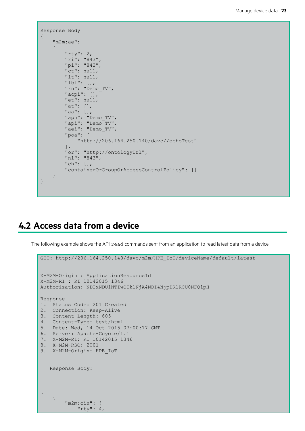```
Response Body
{
     "m2m:ae": 
     {
          "rty": 2,
          "ri": "843",
          "pi": "842",
          "ct": null,
          "lt": null,
          "lbl": [],
          "rn": "Demo_TV",
          "acpi": [],
          "et": null,
          "at": [],
          "aa": [],
         "apn": "Demo_TV",
         "api": "Demo<sup>-</sup>TV",
         "aei": "Demo<sup>-</sup>TV",
          "poa": [
               "http://206.164.250.140/davc//echoTest"
         \vert,
          "or": "http://ontologyUrl",
          "nl": "843",
          "ch": [],
          "containerOrGroupOrAccessControlPolicy": []
     }
}
```
### <span id="page-23-0"></span>**4.2 Access data from a device**

The following example shows the API read commands sent from an application to read latest data from a device.

```
GET: http://206.164.250.140/davc/m2m/HPE IoT/deviceName/default/latest
X-M2M-Origin : ApplicationResourceId
X-M2M-RI : RI_10142015_1346
Authorization: NDIxNDU1NTIwOTk1NjA4NDI4NjpDR1RCU0NFQ1pH
Response
1. Status Code: 201 Created
2. Connection: Keep-Alive
3. Content-Length: 605
4. Content-Type: text/html
5. Date: Wed, 14 Oct 2015 07:00:17 GMT
6. Server: Apache-Coyote/1.1
7. X-M2M-RI: RI_10142015_1346
8. X-M2M-RSC: 2001
9. X-M2M-Origin: HPE IoT
   Response Body:
[
     {
         "m2m:cin": {
            "rty": 4,
```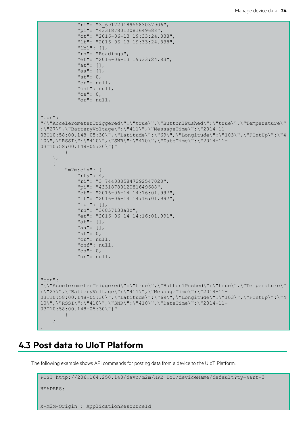```
 "ri": "3_6917201895583037906",
             "pi": "4331878012081649688",
             "ct": "2016-06-13 19:33:24.838",
             "lt": "2016-06-13 19:33:24.838",
             "lbl": [],
             "rn": "Readings",
             "et": "2016-06-13 19:33:24.83",
             "at": [],
             "aa": [],
             "st": 0,
             "cr": null,
             "cnf": null,
             "cs": 0,
             "or": null,
"con": 
"{\"AccelerometerTriggered\":\"true\",\"Button1Pushed\":\"true\",\"Temperature\"
:\"27\",\"BatteryVoltage\":\"411\",\"MessageTime\":\"2014-11-
03T10:58:00.148+05:30\",\"Latitude\":\"69\",\"Longitude\":\"103\",\"FCntUp\":\"4
10\",\"RSSI\":\"410\",\"SNR\":\"410\",\"DateTime\":\"2014-11-
03T10:58:00.148+05:30\"}"
 }
     },
     {
         "m2m:cin": {
            "rty": 4, "ri": "3_7440385847292547028",
             "pi": "4331878012081649688",
            "ct": "2016-06-14 14:16:01.997"
             "lt": "2016-06-14 14:16:01.997",
             "lbl": [],
             "rn": "36857133a3c",
             "et": "2016-06-14 14:16:01.991",
             "at": [],
             "aa": [],
            "st": 0, "cr": null,
             "cnf": null,
             "cs": 0,
             "or": null,
"con": 
"{\"AccelerometerTriggered\":\"true\",\"Button1Pushed\":\"true\",\"Temperature\"
:\"27\",\"BatteryVoltage\":\"411\",\"MessageTime\":\"2014-11-
03T10:58:00.148+05:30\",\"Latitude\":\"69\",\"Longitude\":\"103\",\"FCntUp\":\"4
10\",\"RSSI\":\"410\",\"SNR\":\"410\",\"DateTime\":\"2014-11-
03T10:58:00.148+05:30\"}"
 }
 }
]
```
### <span id="page-24-0"></span>**4.3 Post data to UIoT Platform**

The following example shows API commands for posting data from a device to the UIoT Platform.

```
POST http://206.164.250.140/davc/m2m/HPE_IoT/deviceName/default?ty=4&rt=3
HEADERS:
X-M2M-Origin : ApplicationResourceId
```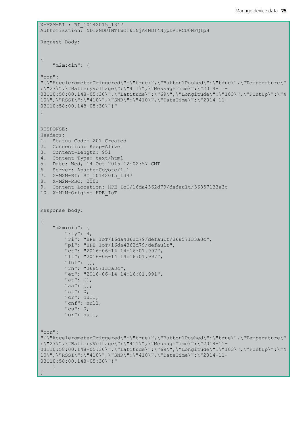```
X-M2M-RI : RI_10142015_1347
Authorization: NDIxNDU1NTIwOTk1NjA4NDI4NjpDR1RCU0NFQ1pH
Request Body:
{
     "m2m:cin": {
"con": 
"{\"AccelerometerTriggered\":\"true\",\"Button1Pushed\":\"true\",\"Temperature\"
:\"27\",\"BatteryVoltage\":\"411\",\"MessageTime\":\"2014-11-
03T10:58:00.148+05:30\",\"Latitude\":\"69\",\"Longitude\":\"103\",\"FCntUp\":\"4
10\",\"RSSI\":\"410\",\"SNR\":\"410\",\"DateTime\":\"2014-11-
03T10:58:00.148+05:30\"}"
}
RESPONSE: 
Headers:
1. Status Code: 201 Created
2. Connection: Keep-Alive
3. Content-Length: 951
4. Content-Type: text/html
5. Date: Wed, 14 Oct 2015 12:02:57 GMT
6. Server: Apache-Coyote/1.1
7. X-M2M-RI: RI_10142015_1347
8. X-M2M-RSC: 2001
9. Content-Location: HPE_IoT/16da4362d79/default/36857133a3c
10. X-M2M-Origin: HPE_IoT
Response body: 
{
     "m2m:cin": {
        "rty": 4, "ri": "HPE_IoT/16da4362d79/default/36857133a3c",
         "pi": "HPE_IoT/16da4362d79/default",
        "ct": "2016-06-14 14:16:01.997",
         "lt": "2016-06-14 14:16:01.997",
         "lbl": [],
         "rn": "36857133a3c",
         "et": "2016-06-14 14:16:01.991",
         "at": [],
         "aa": [],
         "st": 0,
         "cr": null,
         "cnf": null,
        "cs": 0,
         "or": null,
"con":
"{\"AccelerometerTriggered\":\"true\",\"Button1Pushed\":\"true\",\"Temperature\"
:\"27\",\"BatteryVoltage\":\"411\",\"MessageTime\":\"2014-11-
03T10:58:00.148+05:30\",\"Latitude\":\"69\",\"Longitude\":\"103\",\"FCntUp\":\"4
10\",\"RSSI\":\"410\",\"SNR\":\"410\",\"DateTime\":\"2014-11-
03T10:58:00.148+05:30\"}"
     }
}
```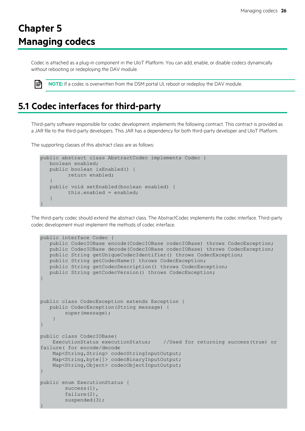## <span id="page-26-0"></span>**Chapter 5 Managing codecs**

Codec is attached as a plug-in component in the UIoT Platform. You can add, enable, or disable codecs dynamically without rebooting or redeploying the DAV module.

<span id="page-26-1"></span>ا≝ا

**NOTE:** If a codec is overwritten from the DSM portal UI, reboot or redeploy the DAV module.

### **5.1 Codec interfaces for third-party**

Third-party software responsible for codec development, implements the following contract. This contract is provided as a JAR file to the third-party developers. This JAR has a dependency for both third-party developer and UIoT Platform.

The supporting classes of this abstract class are as follows:

```
public abstract class AbstractCodec implements Codec {
   boolean enabled;
   public boolean isEnabled() {
         return enabled;
   }
   public void setEnabled(boolean enabled) {
         this.enabled = enabled;
   }
}
```
The third-party codec should extend the abstract class. The AbstractCodec implements the codec interface. Third-party codec development must implement the methods of codec interface.

```
public interface Codec {
   public CodecIOBase encode(CodecIOBase codecIOBase) throws CodecException;
   public CodecIOBase decode(CodecIOBase codecIOBase) throws CodecException;
   public String getUniqueCodecIdentifier() throws CodecException;
   public String getCodecName() throws CodecException;
   public String getCodecDescription() throws CodecException;
   public String getCodecVersion() throws CodecException;
}
public class CodecException extends Exception {
   public CodecException(String message) {
         super(message);
 }
}
public class CodecIOBase{
     ExecutionStatus executionStatus; //Used for returning success(true) or 
failure( for encode/decode
   Map<String, String> codecStringInputOutput;
    Map<String,byte[]> codecBinaryInputOutput;
    Map<String,Object> codecObjectInputOutput;
}
public enum ExecutionStatus {
        success(1),
         failure(2),
        suspended(3);
}
```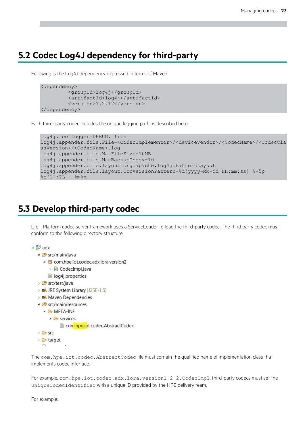### <span id="page-27-0"></span>**5.2 Codec Log4J dependency for third-party**

Following is the Log4J dependency expressed in terms of Maven.

```
<dependency>
         <groupId>log4j</groupId>
         <artifactId>log4j</artifactId>
         <version>1.2.17</version>
</dependency>
```
Each third-party codec includes the unique logging path as described here.

```
log4j.rootLogger=DEBUG, file
log4j.appender.file.File=<CodecImplementor>/<deviceVendor>/<CodecName>/<CodecCla
ssVersion>/<CodecName>.log
log4j.appender.file.MaxFileSize=10MB
log4j.appender.file.MaxBackupIndex=10
log4j.appender.file.layout=org.apache.log4j.PatternLayout
log4j.appender.file.layout.ConversionPattern=%d{yyyy-MM-dd HH:mm:ss} %-5p 
\xi c\{1\}:\xi L - \xi m\n
```
### <span id="page-27-1"></span>**5.3 Develop third-party codec**

UIoT Platform codec server framework uses a ServiceLoader to load the third-party codec. The third party codec must conform to the following directory structure.

```
\triangleq adx
  ▲ ■ src/main/java
     ▲ + com.hpe.iot.codec.adx.lora.version2
        D CodecImpl.java
       log4j.properties
  ▷ Src/test/java
```
- **EX JRE System Library [J2SE-1.5]**
- Maven Dependencies
- ▲ *Sic/main/resources* 
	- ▲ EMETA-INF
		- $\triangle$  services
			- com.hpe.iot.codec.AbstractCodec
- **D** Src  $\triangleright \triangleright$  target

The com.hpe.iot.codec.AbstractCodec file must contain the qualified name of implementation class that implements codec interface.

For example, com.hpe.iot.codec.adx.lora.version1\_2\_2.CodecImpl, third-party codecs must set the UniqueCodecIdentifier with a unique ID provided by the HPE delivery team.

For example: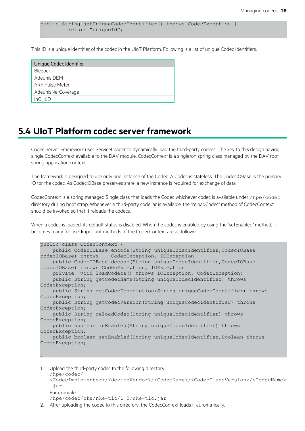public String getUniqueCodecIdentifier() throws CodecException { return "uniqueId"; }

This ID is a unique identifier of the codec in the UIoT Platform. Following is a list of unique Codec Identifiers.

| Unique Codec Identifier |
|-------------------------|
| Bleeper                 |
| Adeunis DEM             |
| <b>ARF Pulse Meter</b>  |
| AdeunisNetCoverage      |
| InO ILD                 |
|                         |

#### <span id="page-28-0"></span>**5.4 UIoT Platform codec server framework**

Codec Server Framework uses ServiceLoader to dynamically load the third-party codecs. The key to this design having single CodecContext available to the DAV module. CodecContext is a singleton spring class managed by the DAV root spring application context.

The framework is designed to use only one instance of the Codec. A Codec is stateless. The CodecIOBase is the primary IO for the codec. As CodecIOBase preserves state, a new instance is required for exchange of data.

CodecContext is a spring managed Single class that loads the Codec whichever codec is available under /hpe/codec directory during boot strap. Whenever a third-party code jar is available, the "reloadCodec" method of CodecContext should be invoked so that it reloads the codecs.

When a codec is loaded, its default status is disabled. When the codec is enabled by using the "setEnabled" method, it becomes ready for use. Important methods of the CodecContext are as follows:

```
public class CodecContext {
   public CodecIOBase encode(String uniqueCodecIdentifier, CodecIOBase
codecIOBase) throws CodecException, IOException
   public CodecIOBase decode(String uniqueCodecIdentifier, CodecIOBase
codecIOBase) throws CodecException, IOException
    private void loadCodecs() throws IOException, CodecException;
    public String getCodecName(String uniqueCodecIdentifier) throws 
CodecException;
    public String getCodecDescription(String uniqueCodecIdentifier) throws 
CodecException;
    public String getCodecVersion(String uniqueCodecIdentifier) throws 
CodecException;
    public String reloadCodec(String uniqueCodecIdentifier) throws 
CodecException;
    public boolean isEnabled(String uniqueCodecIdentifier) throws 
CodecException;
   public boolean setEnabled(String uniqueCodecIdentifier, Boolean throws
CodecException;
}
```
1. Upload the third-party codec to the following directory: /hpe/codec/ <CodecImplementor>/<deviceVendor>/<CodecName>/<CodecClassVersion>/<CodecName> .jar For example /hpe/codec/nke/nke-tic/1\_0/nke-tic.jar

2. After uploading the codec to this directory, the CodecContext loads it automatically.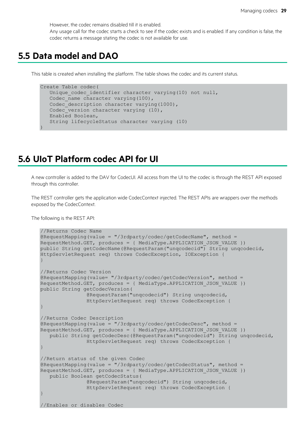However, the codec remains disabled till it is enabled. Any usage call for the codec starts a check to see if the codec exists and is enabled. If any condition is false, the codec returns a message stating the codec is not available for use.

#### <span id="page-29-0"></span>**5.5 Data model and DAO**

This table is created when installing the platform. The table shows the codec and its current status.

```
Create Table codec(
  Unique codec identifier character varying(10) not null,
  Codec name character varying(100),
  Codec description character varying(1000),
  Codec version character varying (10),
   Enabled Boolean,
    String lifecycleStatus character varying (10)
)
```
#### <span id="page-29-1"></span>**5.6 UIoT Platform codec API for UI**

A new controller is added to the DAV for CodecUI. All access from the UI to the codec is through the REST API exposed through this controller.

The REST controller gets the application wide CodecContext injected. The REST APIs are wrappers over the methods exposed by the CodecContext.

The following is the REST API:

```
//Returns Codec Name
@RequestMapping(value = "/3rdparty/codec/getCodecName", method = 
RequestMethod.GET, produces = { MediaType.APPLICATION_JSON_VALUE })
public String getCodecName(@RequestParam("unqcodecid") String unqcodecid,
HttpServletRequest req) throws CodecException, IOException {
}
//Returns Codec Version
@RequestMapping(value= "/3rdparty/codec/getCodecVersion", method = 
RequestMethod.GET, produces = { MediaType.APPLICATION_JSON_VALUE })
public String getCodecVersion(
               @RequestParam("unqcodecid") String unqcodecid,
               HttpServletRequest req) throws CodecException {
}
//Returns Codec Description
@RequestMapping(value = "/3rdparty/codec/getCodecDesc", method = 
RequestMethod.GET, produces = { MediaType.APPLICATION_JSON_VALUE })
   public String getCodecDesc(@RequestParam("ungcodecid") String ungcodecid,
               HttpServletRequest req) throws CodecException {
}
//Return status of the given Codec
@RequestMapping(value = "/3rdparty/codec/getCodecStatus", method =
RequestMethod.GET, produces = { MediaType.APPLICATION_JSON_VALUE })
   public Boolean getCodecStatus(
               @RequestParam("unqcodecid") String unqcodecid,
               HttpServletRequest req) throws CodecException {
}
//Enables or disables Codec
```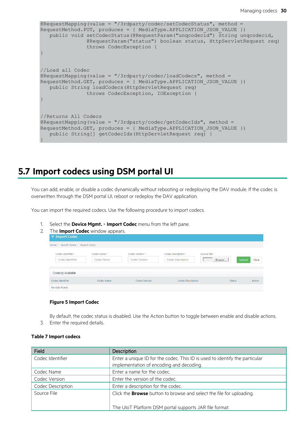```
@RequestMapping(value = "/3rdparty/codec/setCodecStatus", method =
RequestMethod.PUT, produces = { MediaType.APPLICATION_JSON_VALUE })
   public void setCodecStatus(@RequestParam("unqcodecid") String unqcodecid,
              @RequestParam("status") boolean status, HttpServletRequest req)
               throws CodecException {
}
//Load all Codec
@RequestMapping(value = "/3rdparty/codec/loadCodecs", method = 
RequestMethod.GET, produces = { MediaType.APPLICATION JSON VALUE })
   public String loadCodecs(HttpServletRequest req)
               throws CodecException, IOException {
}
//Returns All Codecs
@RequestMapping(value = "/3rdparty/codec/getCodecIds", method = 
RequestMethod.GET, produces = { MediaType.APPLICATION_JSON_VALUE })
   public String[] getCodecIds(HttpServletRequest req) {
}
```
#### <span id="page-30-0"></span>**5.7 Import codecs using DSM portal UI**

You can add, enable, or disable a codec dynamically without rebooting or redeploying the DAV module. If the codec is overwritten through the DSM portal UI, reboot or redeploy the DAV application.

You can import the required codecs. Use the following procedure to import codecs.

1. Select the **Device Mgmt.** > **Import Codec** menu from the left pane.

| 2. | The Import Codec window appears. |
|----|----------------------------------|
|    | $\Box$ Import Codec              |

| Home / Search Device / Import Codec |             |                            |                     |                                    |               |               |        |
|-------------------------------------|-------------|----------------------------|---------------------|------------------------------------|---------------|---------------|--------|
| Codec Identifier *                  | Codec Name* | Codec Version <sup>*</sup> | Codec Description * |                                    | Source File * |               |        |
| Codec Identifier                    | Codec Name  | <b>Codec Version</b>       |                     | <b>Codec Description</b><br>Browse |               | Upload        | Clear  |
|                                     |             |                            |                     |                                    |               |               |        |
| Codec(s) Available                  |             |                            |                     |                                    |               |               |        |
| Codec Identifier                    | Codec Name  | Codec Version              |                     | Codec Description                  |               | <b>Status</b> | Action |
| No data found.                      |             |                            |                     |                                    |               |               |        |

#### **Figure 5 Import Codec**

<span id="page-30-2"></span>By default, the codec status is disabled. Use the Action button to toggle between enable and disable actions. 3. Enter the required details.

#### <span id="page-30-1"></span>**Table 7 Import codecs**

| Field             | Description                                                                 |
|-------------------|-----------------------------------------------------------------------------|
| Codec Identifier  | Enter a unique ID for the codec. This ID is used to identify the particular |
|                   | implementation of encoding and decoding.                                    |
| Codec Name        | Enter a name for the codec.                                                 |
| Codec Version     | Enter the version of the codec.                                             |
| Codec Description | Enter a description for the codec.                                          |
| Source File       | Click the <b>Browse</b> button to browse and select the file for uploading. |
|                   |                                                                             |
|                   | The UIoT Platform DSM portal supports JAR file format.                      |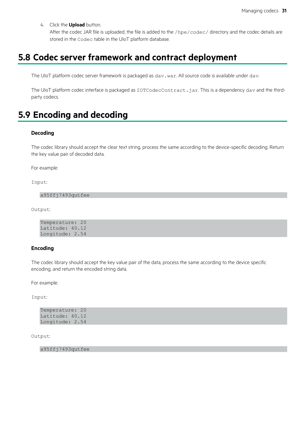4. Click the **Upload** button.

After the codec JAR file is uploaded, the file is added to the /hpe/codec/ directory and the codec details are stored in the Codec table in the UIoT platform database.

### <span id="page-31-0"></span>**5.8 Codec server framework and contract deployment**

The UIoT platform codec server framework is packaged as dav.war. All source code is available under dav.

The UIoT platform codec interface is packaged as IOTCodecContract.jar. This is a dependency dav and the thirdparty codecs.

#### <span id="page-31-1"></span>**5.9 Encoding and decoding**

#### **Decoding**

The codec library should accept the clear text string, process the same according to the device-specific decoding. Return the key value pair of decoded data.

For example:

Input:

a95ffj7493qutfee

Output:

```
Temperature: 20 
Latitude: 40.12 
Longitude: 2.54
```
#### **Encoding**

The codec library should accept the key value pair of the data, process the same according to the device specific encoding, and return the encoded string data.

For example:

Input:

| Temperature: 20 |  |  |
|-----------------|--|--|
| Latitude: 40.12 |  |  |
| Longitude: 2.54 |  |  |

Output:

a95ffj7493qutfee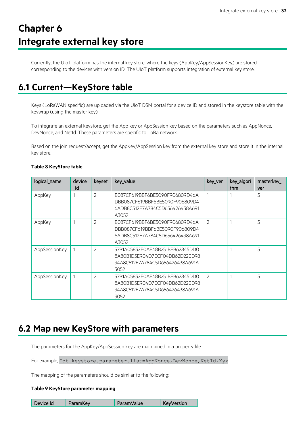# <span id="page-32-0"></span>**Chapter 6 Integrate external key store**

Currently, the UIoT platform has the internal key store, where the keys (AppKey/AppSessionKey) are stored corresponding to the devices with version ID. The UIoT platform supports integration of external key store.

## <span id="page-32-1"></span>**6.1 Current—KeyStore table**

Keys (LoRaWAN specific) are uploaded via the UIoT DSM portal for a device ID and stored in the keystore table with the keywrap (using the master key).

To integrate an external keystore, get the App key or AppSession key based on the parameters such as AppNonce, DevNonce, and NetId. These parameters are specific to LoRa network.

Based on the join request/accept, get the AppKey/AppSession key from the external key store and store it in the internal key store.

| logical_name  | device<br>_id | keyset         | key_value                                                                                                    | key_ver | key_algori<br>thm | masterkey_<br>ver |
|---------------|---------------|----------------|--------------------------------------------------------------------------------------------------------------|---------|-------------------|-------------------|
| AppKey        |               | $\overline{2}$ | B087CF619BBF6BE5090F906809D46A<br>DBB087CF619BBF6BE5090F906809D4<br>6ADB8C512E7A784C5D656426438A691<br>A3052 |         |                   | 5                 |
| AppKey        |               | $\overline{2}$ | B087CF619BBF6BE5090F906809D46A<br>DBB087CF619BBF6BE5090F906809D4<br>6ADB8C512E7A784C5D656426438A691<br>A3052 | 2       |                   | 5                 |
| AppSessionKey |               | $\overline{2}$ | 5791A05832E0AF48B251BFB62845DD0<br>8A80B1D5E904D7ECF04DB62D22ED98<br>34A8C512E7A784C5D656426438A691A<br>3052 | 1       |                   | 5                 |
| AppSessionKey |               | $\mathcal{P}$  | 5791A05832E0AF48B251BFB62845DD0<br>8A80B1D5E904D7ECF04DB62D22ED98<br>34A8C512E7A784C5D656426438A691A<br>3052 | 2       |                   | 5                 |

#### <span id="page-32-3"></span>**Table 8 KeyStore table**

### <span id="page-32-2"></span>**6.2 Map new KeyStore with parameters**

The parameters for the AppKey/AppSession key are maintained in a property file.

For example, Iot.keystore.parameter.list=AppNonce,DevNonce,NetId,Xyz

The mapping of the parameters should be similar to the following:

#### <span id="page-32-4"></span>**Table 9 KeyStore parameter mapping**

| Device Id | ParamKev | ParamValue | KeyVersion |
|-----------|----------|------------|------------|
|-----------|----------|------------|------------|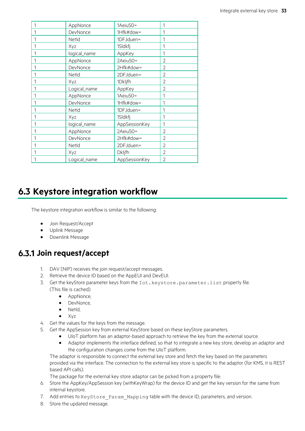| 1 | AppNonce     | 1Aeiu50=      | 1              |
|---|--------------|---------------|----------------|
| 1 | DevNonce     | 1Hfk#dow=     | 1              |
| 1 | NetId        | 1DFJduen=     | 1              |
| 1 | Xyz          | 1Sldkfj       | 1              |
| 1 | logical_name | AppKey        | 1              |
| 1 | AppNonce     | 2Aeiu50=      | 2              |
| 1 | DevNonce     | 2Hfk#dow=     | 2              |
| 1 | NetId        | 2DFJduen=     | 2              |
| 1 | Xyz          | 1Dkljfh       | $\overline{2}$ |
| 1 | Logical_name | AppKey        | $\overline{2}$ |
| 1 | AppNonce     | 1Aeiu50=      | 1              |
| 1 | DevNonce     | 1Hfk#dow=     | 1              |
| 1 | NetId        | 1DFJduen=     | 1              |
| 1 | Xyz          | 1Sldkfj       | 1              |
| 1 | logical_name | AppSessionKey | 1              |
| 1 | AppNonce     | 2Aeiu50=      | $\overline{2}$ |
| 1 | DevNonce     | 2Hfk#dow=     | $\overline{2}$ |
| 1 | NetId        | 2DFJduen=     | 2              |
| 1 | Xyz          | <b>Dkljfh</b> | 2              |
| 1 | Logical_name | AppSessionKey | $\overline{2}$ |

### <span id="page-33-0"></span>**6.3 Keystore integration workflow**

The keystore integration workflow is similar to the following:

- Join Request/Accept
- Uplink Message
- Downlink Message

#### <span id="page-33-1"></span>**Join request/accept**

- 1. DAV (NIP) receives the join request/accept messages.
- 2. Retrieve the device ID based on the AppEUI and DevEUI.
- 3. Get the keyStore parameter keys from the Iot. keystore.parameter.list property file. (This file is cached)
	- AppNonce,
	- DevNonce,
	- NetId.
	- Xyz
- 4. Get the values for the keys from the message.
- 5. Get the AppSession key from external KeyStore based on these keyStore parameters.
	- $\bullet$  UIoT platform has an adaptor-based approach to retrieve the key from the external source.
		- Adaptor implements the interface defined, so that to integrate a new key store, develop an adaptor and the configuration changes come from the UIoT platform.

The adaptor is responsible to connect the external key store and fetch the key based on the parameters provided via the interface. The connection to the external key store is specific to the adaptor (for KMS, it is REST based API calls).

The package for the external key store adaptor can be picked from a property file.

- 6. Store the AppKey/AppSession key (withKeyWrap) for the device ID and get the key version for the same from internal keystore.
- 7. Add entries to KeyStore Param Mapping table with the device ID, parameters, and version.
- 8. Store the updated message.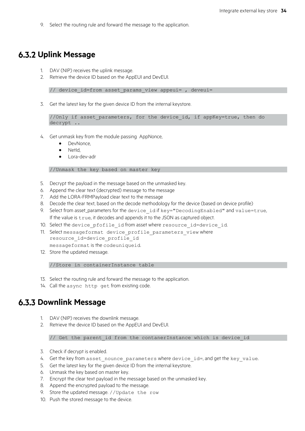9. Select the routing rule and forward the message to the application.

#### <span id="page-34-0"></span>**6.3.2 Uplink Message**

- 1. DAV (NIP) receives the uplink message.
- 2. Retrieve the device ID based on the AppEUI and DevEUI.

// device id=from asset params view appeui= , deveui=

3. Get the latest key for the given device ID from the internal keystore.

```
//Only if asset parameters, for the device id, if appKey=true, then do
decrypt ..
```
- 4. Get unmask key from the module passing AppNonce,
	- DevNonce,
	- NetId,
	- Lora-dev-adr

//Unmask the key based on master key

- 5. Decrypt the payload in the message based on the unmasked key.
- 6. Append the clear text (decrypted) message to the message
- 7. Add the LORA-FRMPayload clear text to the message
- 8. Decode the clear text, based on the decode methodology for the device (based on device profile)
- 9. Select from asset\_parameters for the device id if key="DecodingEnabled" and value=true, If the value is true, it decodes and appends it to the JSON as captured object.
- 10. Select the device pfofile id from asset where resource id=device id.
- 11. Select messageformat device profile parameters view where resource id=device profile id messageformat is the codeuniqueid.
- 12. Store the updated message.

//Store in containerInstance table

- 13. Select the routing rule and forward the message to the application.
- 14. Call the async http get from existing code.

#### <span id="page-34-1"></span>**6.3.3 Downlink Message**

- 1. DAV (NIP) receives the downlink message.
- 2. Retrieve the device ID based on the AppEUI and DevEUI.

// Get the parent id from the contanerInstance which is device id

- 3. Check if decrypt is enabled.
- 4. Get the key from asset\_nounce\_parameters where device\_id=, and get the key\_value.
- 5. Get the latest key for the given device ID from the internal keystore.
- 6. Unmask the key based on master key.
- 7. Encrypt the clear text payload in the message based on the unmasked key.
- 8. Append the encrypted payload to the message.
- 9. Store the updated message. //Update the row
- 10. Push the stored message to the device.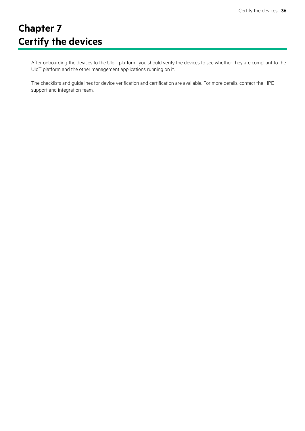# <span id="page-36-0"></span>**Chapter 7 Certify the devices**

After onboarding the devices to the UIoT platform, you should verify the devices to see whether they are compliant to the UIoT platform and the other management applications running on it.

The checklists and guidelines for device verification and certification are available. For more details, contact the HPE support and integration team.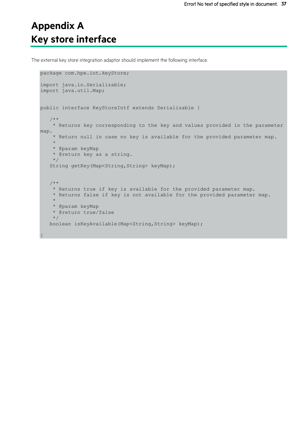## <span id="page-37-0"></span>**Appendix A Key store interface**

The external key store integration adaptor should implement the following interface.

```
package com.hpe.iot.keyStore;
import java.io.Serializable;
import java.util.Map;
public interface KeyStoreIntf extends Serializable {
   /**
    * Returns key corresponding to the key and values provided in the parameter 
map.
    * Return null in case no key is available for the provided parameter map.
    * 
    * @param keyMap
   * @return key as a string.
    */
   String getKey(Map<String, String> keyMap);
   /**
   * Returns true if key is available for the provided parameter map.
   * Returns false if key is not available for the provided parameter map.
    * 
   * @param keyMap
   * @return true/false 
    */
   boolean isKeyAvailable(Map<String, String> keyMap);
}
```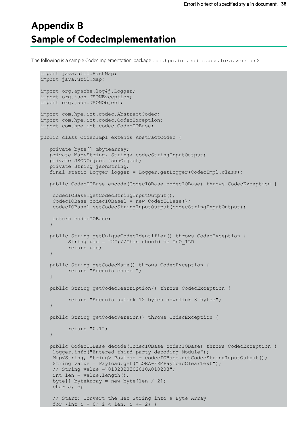## <span id="page-38-0"></span>**Appendix B Sample of CodecImplementation**

The following is a sample CodecImplementation: package com.hpe.iot.codec.adx.lora.version2

```
import java.util.HashMap;
import java.util.Map;
import org.apache.log4j.Logger;
import org.json.JSONException;
import org.json.JSONObject;
import com.hpe.iot.codec.AbstractCodec;
import com.hpe.iot.codec.CodecException;
import com.hpe.iot.codec.CodecIOBase;
public class CodecImpl extends AbstractCodec {
   private byte[] mbytearray;
   private Map<String, String> codecStringInputOutput;
  private JSONObject jsonObject;
  private String jsonString;
   final static Logger logger = Logger.getLogger(CodecImpl.class);
  public CodecIOBase encode(CodecIOBase codecIOBase) throws CodecException {
    codecIOBase.getCodecStringInputOutput();
   CodecIOBase codecIOBase1 = new CodecIOBase();
   codecIOBase1.setCodecStringInputOutput(codecStringInputOutput);
   return codecIOBase;
   }
   public String getUniqueCodecIdentifier() throws CodecException {
         String uid = "2";//This should be InO ILD
         return uid;
   }
   public String getCodecName() throws CodecException {
        return "Adeunis codec ";
   }
   public String getCodecDescription() throws CodecException {
         return "Adeunis uplink 12 bytes downlink 8 bytes";
   }
   public String getCodecVersion() throws CodecException {
         return "0.1";
   }
   public CodecIOBase decode(CodecIOBase codecIOBase) throws CodecException {
   logger.info("Entered third party decoding Module");
   Map<String, String> Payload = codecIOBase.getCodecStringInputOutput();
   String value = Payload.get("LORA-FRMPayloadClearText");
   // String value ="0102020302010A010203";
   int len = value.length();
   byte[] byteArray = new byte[len / 2];
   char a, b;
    // Start: Convert the Hex String into a Byte Array
    for (int i = 0; i < len; i += 2) {
```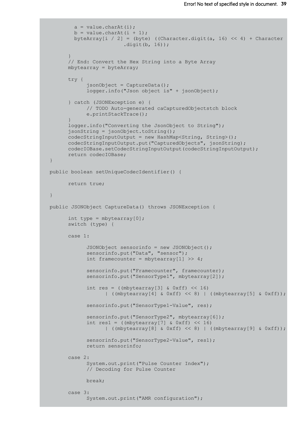```
a = value.charAt(i);b = value.charAt(i + 1);byteArray[i / 2] = (byte) ((Character.digit(a, 16) \lt\lt 4) + Character
                         .digit(b, 16));
      }
      // End: Convert the Hex String into a Byte Array
      mbytearray = byteArray;
      try {
            jsonObject = CaptureData();
            logger.info("Json object is" + jsonObject);
      } catch (JSONException e) {
            // TODO Auto-generated caCapturedObjectstch block
            e.printStackTrace();
      }
      logger.info("Converting the JsonObject to String");
      jsonString = jsonObject.toString();
      codecStringInputOutput = new HashMap<String, String>();
      codecStringInputOutput.put("CapturedObjects", jsonString);
      codecIOBase.setCodecStringInputOutput(codecStringInputOutput);
      return codecIOBase;
}
public boolean setUniqueCodecIdentifier() {
      return true;
}
public JSONObject CaptureData() throws JSONException {
      int type = mbytearray[0];
      switch (type) {
      case 1:
            JSONObject sensorinfo = new JSONObject();
            sensorinfo.put("Data", "sensor");
            int framecounter = mbytearray[1] >> 4;
            sensorinfo.put("Framecounter", framecounter);
            sensorinfo.put("SensorType1", mbytearray[2]);
            int res = ((mbytearray[3] & 0xff) << 16)
                  | ((mbytearray[4] & 0xff) << 8) | ((mbytearray[5] & 0xff));
            sensorinfo.put("SensorType1-Value", res);
            sensorinfo.put("SensorType2", mbytearray[6]);
            int res1 = (\text{mbytearray}[7] \& \text{0xff}) \ll 16)| ((mbytearray[8] & 0xff) << 8) | ((mbytearray[9] & 0xff));
            sensorinfo.put("SensorType2-Value", res1);
            return sensorinfo;
      case 2:
            System.out.print("Pulse Counter Index");
            // Decoding for Pulse Counter
            break;
      case 3:
            System.out.print("AMR configuration");
```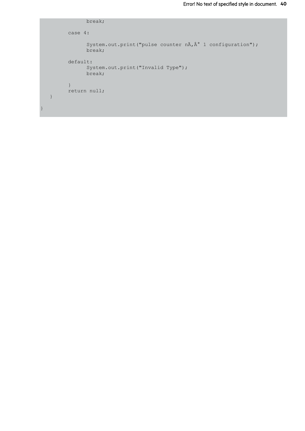```
break;
          case 4:
                System.out.print("pulse counter n\tilde{A}, \hat{A}^{\circ} 1 configuration");
                break;
          default:
                System.out.print("Invalid Type");
                break;
          }
          return null;
   }
}
```